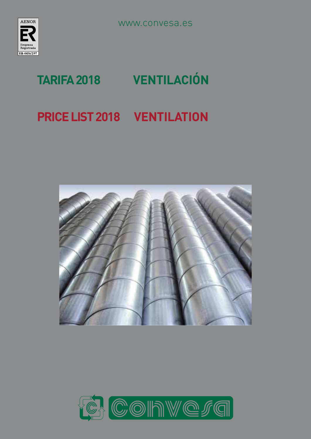

# **TARIFA 2018 VENTILACIÓN PRICE LIST 2018 VENTILATION**



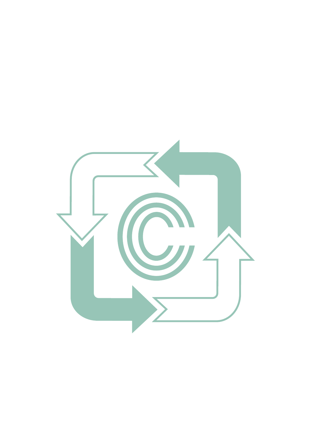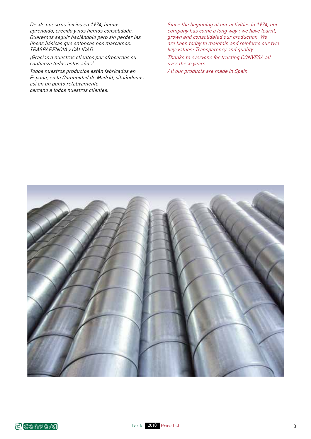Desde nuestros inicios en 1974, hemos aprendido, crecido y nos hemos consolidado. Queremos seguir haciéndolo pero sin perder las líneas básicas que entonces nos marcamos: TRASPARENCIA y CALIDAD.

¡Gracias a nuestros clientes por ofrecernos su confianza todos estos años!

Todos nuestros productos están fabricados en España, en la Comunidad de Madrid, situándonos así en un punto relativamente cercano a todos nuestros clientes.

Since the beginning of our activities in 1974, our company has come a long way : we have learnt, grown and consolidated our production. We are keen today to maintain and reinforce our two key-values: Transparency and quality. Thanks to everyone for trusting CONVESA all over these years.

All our products are made in Spain.





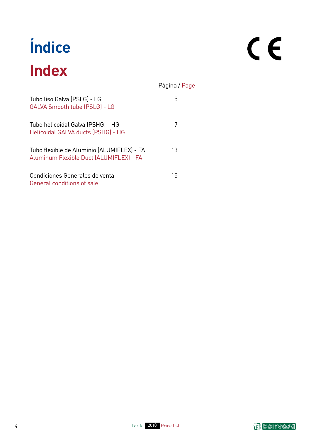# **Índice Index**

|                                                                                       | Página / Page |
|---------------------------------------------------------------------------------------|---------------|
| Tubo liso Galva (PSLG) - LG<br>GALVA Smooth tube (PSLG) - LG                          | 5             |
| Tubo helicoidal Galva (PSHG) - HG<br>Helicoidal GALVA ducts (PSHG) - HG               | 7             |
| Tubo flexible de Aluminio (ALUMIFLEX) - FA<br>Aluminum Flexible Duct (ALUMIFLEX) - FA | 13            |
| Condiciones Generales de venta<br><b>General conditions of sale</b>                   | 15            |

**Q** Convera

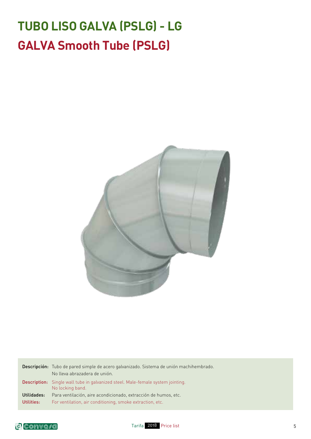# **TUBO LISO GALVA (PSLG) - LG GALVA Smooth Tube (PSLG)**



|             | <b>Descripción:</b> Tubo de pared simple de acero galvanizado. Sistema de unión machihembrado.             |
|-------------|------------------------------------------------------------------------------------------------------------|
|             | No lleva abrazadera de unión.                                                                              |
|             | <b>Description:</b> Single wall tube in galvanized steel. Male-female system jointing.<br>No locking band. |
| Utilidades: | Para ventilación, aire acondicionado, extracción de humos, etc.                                            |
| Utilities:  | For ventilation, air conditioning, smoke extraction, etc.                                                  |



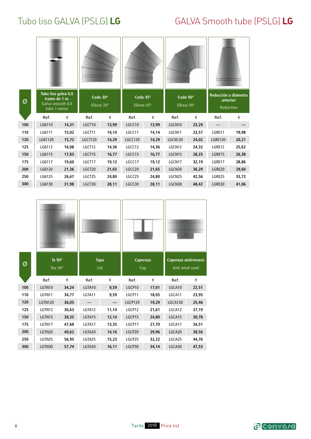### Tubo liso GALVA (PSLG) **LG**  GALVA Smooth tube (PSLG) **LG**

| Ø   | Tubo liso galva 0,6<br>tramo de 1 m.<br>Galva smooth 0,6<br>tube 1 meter |       | Codo 30°<br>Elbow 30° |       | Codo 45°<br>Elbow 45° |       | Codo 90°<br>Elbow 90° |       | Reducción a diámetro<br>anterior<br><b>Reduction</b> |       |  |
|-----|--------------------------------------------------------------------------|-------|-----------------------|-------|-----------------------|-------|-----------------------|-------|------------------------------------------------------|-------|--|
|     | Ref.                                                                     | €     | Ref.                  | €     | Ref.                  | €     | Ref.                  | €     | Ref.                                                 | €     |  |
| 100 | LG6110                                                                   | 14,31 | LGCT10                | 13,99 | LGCC10                | 13,99 | LGCN10                | 23,29 |                                                      |       |  |
| 110 | LG6111                                                                   | 15,02 | LGCT11                | 14,14 | LGCC11                | 14,14 | LGCN11                | 23,57 | LGRE11                                               | 19,98 |  |
| 120 | LG61120                                                                  | 15,72 | <b>LGCT120</b>        | 14,29 | LGCC120               | 14,29 | <b>LGCN120</b>        | 24,02 | <b>LGRE120</b>                                       | 20,21 |  |
| 125 | LG6112                                                                   | 16,08 | LGCT12                | 14,36 | LGCC12                | 14,36 | LGCN12                | 24,32 | LGRE12                                               | 25,62 |  |
| 150 | LG6115                                                                   | 17,83 | LGCT15                | 16,77 | LGCC15                | 16,77 | LGCN15                | 28,25 | LGRE15                                               | 26,38 |  |
| 175 | LG6117                                                                   | 19,60 | LGCT17                | 19,12 | LGCC17                | 19,12 | LGCN17                | 32,19 | LGRE17                                               | 28,86 |  |
| 200 | LG6120                                                                   | 21,36 | LGCT20                | 21,65 | LGCC20                | 21,65 | LGCN20                | 36,29 | LGRE20                                               | 29,60 |  |
| 250 | LG6125                                                                   | 26,67 | LGCT25                | 24,80 | LGCC25                | 24,80 | LGCN25                | 42,56 | LGRE25                                               | 33,73 |  |
| 300 | LG6130                                                                   | 31,98 | LGCT30                | 28,11 | LGCC30                | 28,11 | LGCN30                | 48,42 | LGRE30                                               | 41,06 |  |

| Ø   | Te 90°<br>Tee 90° |       | <b>Tapa</b><br>Lid |       | <b>Caperuza</b> | Cap   | Caperuza antirrevoco<br>Anti wind cowl |       |  |
|-----|-------------------|-------|--------------------|-------|-----------------|-------|----------------------------------------|-------|--|
|     | Ref.              | €     | Ref.               | €     | Ref.            | €     | Ref.                                   | €     |  |
| 100 | LGTN10            | 34,24 | LGTA10             | 9,59  | LGCP10          | 17,01 | LGCA10                                 | 22,51 |  |
| 110 | LGTN11            | 34,77 | LGTA11             | 9,59  | LGCP11          | 18,05 | LGCA11                                 | 23,95 |  |
| 120 | <b>LGTN120</b>    | 36,05 |                    |       | <b>LGCP120</b>  | 19,29 | <b>LGCA120</b>                         | 25,46 |  |
| 125 | LGTN12            | 36,63 | LGTA12             | 11,14 | LGCP12          | 21,61 | LGCA12                                 | 27,19 |  |
| 150 | LGTN15            | 38,35 | LGTA15             | 12,14 | LGCP15          | 24,80 | LGCA15                                 | 30,78 |  |
| 175 | LGTN17            | 47,68 | LGTA17             | 13,35 | LGCP17          | 27,70 | LGCA17                                 | 34,51 |  |
| 200 | LGTN20            | 49,62 | LGTA20             | 14,16 | LGCP20          | 29,96 | LGCA20                                 | 38,56 |  |
| 250 | LGTN25            | 56,95 | LGTA25             | 15,23 | LGCP25          | 32,22 | LGCA25                                 | 44,76 |  |
| 300 | LGTN30            | 57,74 | LGTA30             | 16,11 | LGCP30          | 34,14 | LGCA30                                 | 47,53 |  |

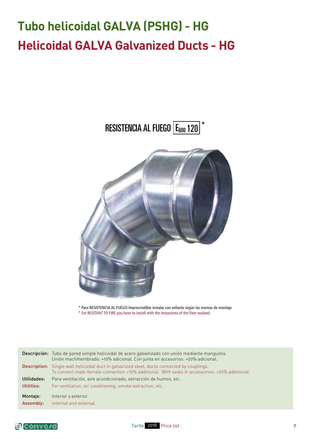# **Tubo helicoidal GALVA (PSHG) - HG Helicoidal GALVA Galvanized Ducts - HG**

### RESISTENCIA AL FUEGO  $\boxed{\mathsf{E}_{600}}$  120  $^*$



\* Para RESISTENCIA AL FUEGO Imprescindible instalar con sellante según las normas de montaje. \* For RESITANT TO FIRE you have to install with the instuctions of the fixer sealand.

|                           | <b>Descripción:</b> Tubo de pared simple helicoidal de acero galvanizado con unión mediante manguitos.<br>Unión machihembrado: +10% adicional. Con junta en accesorios: +20% adicional.<br><b>Description:</b> Single wall helicoidal duct in galvanized steel, ducts connected by couplings. |
|---------------------------|-----------------------------------------------------------------------------------------------------------------------------------------------------------------------------------------------------------------------------------------------------------------------------------------------|
| Utilidades:<br>Utilities: | To connect male-female connection +10% additional. With seals in accessories: +20% additional.<br>Para ventilación, aire acondicionado, extracción de humos, etc.<br>For ventilation, air conditioning, smoke extraction, etc.                                                                |
| Montaje:<br>Assembly:     | Interior y exterior.<br>internal and external.                                                                                                                                                                                                                                                |

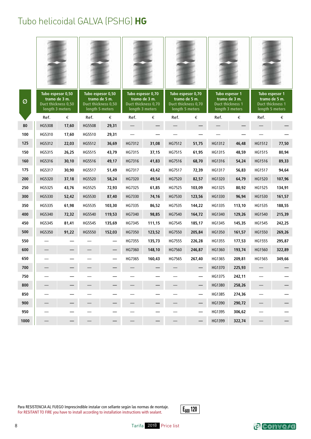### Tubo helicoidal GALVA (PSHG) **HG**

| Ø    | Tubo espesor 0,50<br>tramo de 3 m.<br>Duct thickness 0,50<br>length 3 meters |       | Tubo espesor 0,50<br>tramo de 5 m.<br>Duct thickness 0,50<br>length 5 meters |        | Tubo espesor 0,70<br>tramo de 3 m.<br>Duct thickness 0,70<br>length 3 meters |        | Tubo espesor 0,70<br>tramo de 5 m.<br>Duct thickness 0,70<br>length 5 meters |        | Tubo espesor 1<br>tramo de 3 m.<br><b>Duct thickness 1</b><br>length 3 meters |        | Tubo espesor 1<br>tramo de 5 m.<br>Duct thickness 1<br>length 5 meters |        |
|------|------------------------------------------------------------------------------|-------|------------------------------------------------------------------------------|--------|------------------------------------------------------------------------------|--------|------------------------------------------------------------------------------|--------|-------------------------------------------------------------------------------|--------|------------------------------------------------------------------------|--------|
|      | Ref.                                                                         | €     | Ref.                                                                         | €      | Ref.                                                                         | €      | Ref.                                                                         | €      | Ref.                                                                          | €      | Ref.                                                                   | €      |
| 80   | HG5308                                                                       | 17,60 | HG5508                                                                       | 29,31  |                                                                              |        |                                                                              |        |                                                                               |        |                                                                        |        |
| 100  | HG5310                                                                       | 17,60 | HG5510                                                                       | 29,31  |                                                                              |        |                                                                              |        |                                                                               |        |                                                                        |        |
| 125  | HG5312                                                                       | 22,03 | HG5512                                                                       | 36,69  | HG7312                                                                       | 31,08  | HG7512                                                                       | 51,75  | HG1312                                                                        | 46,48  | HG1512                                                                 | 77,50  |
| 150  | HG5315                                                                       | 26,25 | HG5515                                                                       | 43,79  | HG7315                                                                       | 37,15  | HG7515                                                                       | 61,95  | HG1315                                                                        | 48,59  | HG1515                                                                 | 80,94  |
| 160  | HG5316                                                                       | 30,10 | HG5516                                                                       | 49,17  | HG7316                                                                       | 41,83  | HG7516                                                                       | 68,70  | HG1316                                                                        | 54,24  | HG1516                                                                 | 89,33  |
| 175  | HG5317                                                                       | 30,90 | HG5517                                                                       | 51,49  | HG7317                                                                       | 43,42  | HG7517                                                                       | 72,39  | HG1317                                                                        | 56,83  | HG1517                                                                 | 94,64  |
| 200  | HG5320                                                                       | 37,18 | HG5520                                                                       | 58,24  | HG7320                                                                       | 49,54  | HG7520                                                                       | 82,57  | HG1320                                                                        | 64,79  | HG1520                                                                 | 107,96 |
| 250  | HG5325                                                                       | 43,76 | HG5525                                                                       | 72,93  | HG7325                                                                       | 61,85  | HG7525                                                                       | 103,09 | HG1325                                                                        | 80,92  | HG1525                                                                 | 134,91 |
| 300  | HG5330                                                                       | 52,42 | HG5530                                                                       | 87,40  | HG7330                                                                       | 74,16  | HG7530                                                                       | 123,56 | HG1330                                                                        | 96,94  | HG1530                                                                 | 161,57 |
| 350  | HG5335                                                                       | 61,98 | HG5535                                                                       | 103,30 | HG7335                                                                       | 86,52  | HG7535                                                                       | 144,22 | HG1335                                                                        | 113,10 | HG1535                                                                 | 188,55 |
| 400  | HG5340                                                                       | 72,32 | HG5540                                                                       | 119,53 | HG7340                                                                       | 98,85  | HG7540                                                                       | 164,72 | HG1340                                                                        | 129,26 | HG1540                                                                 | 215,39 |
| 450  | HG5345                                                                       | 81,41 | HG5545                                                                       | 135,69 | HG7345                                                                       | 111,15 | HG7545                                                                       | 185,17 | HG1345                                                                        | 145,35 | HG1545                                                                 | 242,25 |
| 500  | HG5350                                                                       | 91,22 | HG5550                                                                       | 152,03 | HG7350                                                                       | 123,52 | HG7550                                                                       | 205,84 | HG1350                                                                        | 161,57 | HG1550                                                                 | 269,26 |
| 550  |                                                                              |       |                                                                              |        | HG7355                                                                       | 135,73 | HG7555                                                                       | 226,28 | HG1355                                                                        | 177,53 | HG1555                                                                 | 295,87 |
| 600  |                                                                              |       |                                                                              | —      | HG7360                                                                       | 148,10 | HG7560                                                                       | 246,87 | HG1360                                                                        | 193,74 | HG1560                                                                 | 322,89 |
| 650  |                                                                              |       |                                                                              |        | HG7365                                                                       | 160,43 | HG7565                                                                       | 267,40 | HG1365                                                                        | 209,81 | HG1565                                                                 | 349,66 |
| 700  |                                                                              |       |                                                                              |        |                                                                              |        |                                                                              |        | HG1370                                                                        | 225,93 |                                                                        |        |
| 750  |                                                                              |       |                                                                              |        |                                                                              |        |                                                                              |        | HG1375                                                                        | 242,11 |                                                                        |        |
| 800  |                                                                              |       |                                                                              |        |                                                                              |        |                                                                              |        | HG1380                                                                        | 258,26 |                                                                        |        |
| 850  |                                                                              |       |                                                                              |        |                                                                              |        |                                                                              | -      | HG1385                                                                        | 274,36 |                                                                        |        |
| 900  |                                                                              |       |                                                                              |        |                                                                              |        |                                                                              |        | HG1390                                                                        | 290,72 |                                                                        |        |
| 950  |                                                                              |       |                                                                              |        |                                                                              |        |                                                                              |        | HG1395                                                                        | 306,62 |                                                                        |        |
| 1000 |                                                                              |       |                                                                              |        |                                                                              |        |                                                                              |        | HG1399                                                                        | 322,74 |                                                                        |        |

Para RESISTENCIA AL FUEGO Imprescindible instalar con sellante según las normas de montaje.<br>For RESITANT TO FIRE you have to install according to installation instructions with sealant.

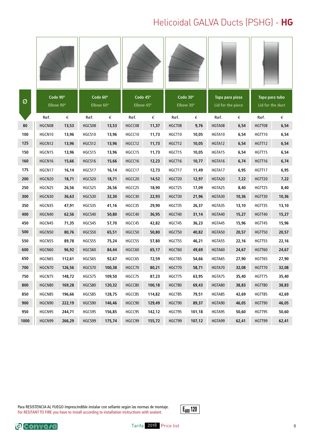### Helicoidal GALVA Ducts (PSHG) - **HG**

| Ø    | Codo 90°<br>Elbow 90° |        | Codo 60°<br>Elbow 60° |        | Codo 45°<br>Elbow 45° |        | Codo 30°<br>Elbow 30° |        | Tapa para pieza<br>Lid for the piece |       | Tapa para tubo<br>Lid for the duct |       |
|------|-----------------------|--------|-----------------------|--------|-----------------------|--------|-----------------------|--------|--------------------------------------|-------|------------------------------------|-------|
|      | Ref.                  | €      | Ref.                  | €      | Ref.                  | €      | Ref.                  | €      | Ref.                                 | $\in$ | Ref.                               | $\in$ |
| 80   | HGCN08                | 13,53  | HGCS08                | 13,53  | HGCC08                | 11,37  | HGCT08                | 9,76   | HGTA08                               | 6,54  | HGTT08                             | 6,54  |
| 100  | HGCN10                | 13,96  | HGCS10                | 13,96  | HGCC10                | 11,73  | HGCT10                | 10,05  | HGTA10                               | 6,54  | HGTT10                             | 6,54  |
| 125  | HGCN12                | 13,96  | HGCS12                | 13,96  | HGCC12                | 11,73  | HGCT12                | 10,05  | HGTA12                               | 6,54  | HGTT12                             | 6,54  |
| 150  | HGCN15                | 13,96  | HGCS15                | 13,96  | HGCC15                | 11,73  | HGCT15                | 10,05  | HGTA15                               | 6,54  | HGTT15                             | 6,54  |
| 160  | HGCN16                | 15,66  | HGCS16                | 15,66  | HGCC16                | 12,23  | HGCT16                | 10,77  | HGTA16                               | 6,74  | HGTT16                             | 6,74  |
| 175  | HGCN17                | 16,14  | HGCS17                | 16,14  | HGCC17                | 12,73  | HGCT17                | 11,49  | HGTA17                               | 6,95  | HGTT17                             | 6,95  |
| 200  | HGCN20                | 18,71  | HGCS20                | 18,71  | HGCC20                | 14,52  | HGCT20                | 12,97  | HGTA20                               | 7,22  | HGTT20                             | 7,22  |
| 250  | HGCN25                | 26,56  | HGCS25                | 26,56  | HGCC25                | 18,90  | HGCT25                | 17,09  | HGTA25                               | 8,40  | HGTT25                             | 8,40  |
| 300  | HGCN30                | 36,63  | HGCS30                | 32,30  | HGCC30                | 22,93  | HGCT30                | 21,96  | HGTA30                               | 10,36 | HGTT30                             | 10,36 |
| 350  | HGCN35                | 47,91  | HGCS35                | 41,16  | HGCC35                | 29,90  | HGCT35                | 26,37  | HGTA35                               | 13,10 | HGTT35                             | 13,10 |
| 400  | HGCN40                | 62,56  | HGCS40                | 50,80  | HGCC40                | 36,95  | HGCT40                | 31,14  | HGTA40                               | 15,27 | HGTT40                             | 15,27 |
| 450  | HGCN45                | 71,35  | HGCS45                | 57,70  | HGCC45                | 42,82  | HGCT45                | 36,23  | HGTA45                               | 15,96 | HGTT45                             | 15,96 |
| 500  | HGCN50                | 80,76  | HGCS50                | 65,51  | HGCC50                | 50,80  | HGCT50                | 40,82  | HGTA50                               | 20,57 | HGTT50                             | 20,57 |
| 550  | HGCN55                | 89,78  | HGCS55                | 75,24  | HGCC55                | 57,80  | HGCT55                | 46,21  | HGTA55                               | 22,16 | HGTT55                             | 22,16 |
| 600  | HGCN60                | 96,92  | HGCS60                | 84,44  | HGCC60                | 65,17  | HGCT60                | 49,69  | HGTA60                               | 24,67 | HGTT60                             | 24,67 |
| 650  | HGCN65                | 112,61 | HGCS65                | 92,67  | HGCC65                | 72,59  | HGCT65                | 54,66  | HGTA65                               | 27,90 | HGTT65                             | 27,90 |
| 700  | HGCN70                | 126,56 | HGCS70                | 100,38 | HGCC70                | 80,21  | HGCT70                | 58,71  | HGTA70                               | 32,08 | HGTT70                             | 32,08 |
| 750  | HGCN75                | 148,72 | HGCS75                | 109,50 | HGCC75                | 87,23  | HGCT75                | 63,95  | HGTA75                               | 35,40 | HGTT75                             | 35,40 |
| 800  | HGCN80                | 169,28 | HGCS80                | 120,32 | HGCC80                | 100,18 | HGCT80                | 69,43  | HGTA80                               | 38,83 | HGTT80                             | 38,83 |
| 850  | HGCN85                | 196,66 | HGCS85                | 128,75 | HGCC85                | 114,82 | HGCT85                | 79,51  | HGTA85                               | 42,69 | HGTT85                             | 42,69 |
| 900  | HGCN90                | 222,19 | HGCS90                | 146,46 | HGCC90                | 129,49 | HGCT90                | 89,37  | HGTA90                               | 46,05 | HGTT90                             | 46,05 |
| 950  | HGCN95                | 244,71 | HGCS95                | 156,85 | HGCC95                | 142,12 | HGCT95                | 101,18 | HGTA95                               | 50,60 | HGTT95                             | 50,60 |
| 1000 | HGCN99                | 266,29 | HGCS99                | 175,74 | HGCC99                | 155,72 | HGCT99                | 107,12 | HGTA99                               | 62,41 | HGTT99                             | 62,41 |

Para RESISTENCIA AL FUEGO Imprescindible instalar con sellante según las normas de montaje.<br>For RESITANT TO FIRE you have to install according to installation instructions with sealant.



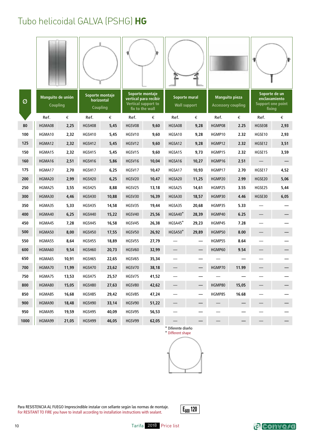### Tubo helicoidal GALVA (PSHG) **HG**

| Ø          | Manguito de unión<br>Coupling |                | Soporte montaje<br>horizontal<br>Coupling |                | Soporte montaje<br>vertical para recibir<br>Vertical support to<br>fix to the wall |                | Soporte mural<br><b>Wall support</b> |       | <b>Manguito pieza</b><br><b>Accessory coupling</b> |                | Soporte de un<br>enclavamiento<br><b>Support one point</b><br>fixing |      |
|------------|-------------------------------|----------------|-------------------------------------------|----------------|------------------------------------------------------------------------------------|----------------|--------------------------------------|-------|----------------------------------------------------|----------------|----------------------------------------------------------------------|------|
|            | Ref.                          | €              | Ref.                                      | €              | Ref.                                                                               | €              | Ref.                                 | €     | Ref.                                               | €              | Ref.                                                                 | €    |
| 80         | HGMA08                        | 2,25           | HGSH08                                    | 5,45           | HGSV08                                                                             | 9,60           | HGSA08                               | 9,28  | HGMP08                                             | 2.25           | HGSE08                                                               | 2,93 |
| 100        | HGMA10                        | 2,32           | HGSH10                                    | 5,45           | HGSV10                                                                             | 9,60           | HGSA10                               | 9,28  | HGMP10                                             | 2.32           | HGSE10                                                               | 2,93 |
| 125        | HGMA12                        | 2,32           | HGSH12                                    | 5,45           | HGSV12                                                                             | 9,60           | HGSA12                               | 9,28  | HGMP12                                             | 2.32           | HGSE12                                                               | 3,51 |
| 150        | HGMA15                        | 2,32           | HGSH15                                    | 5,45           | HGSV15                                                                             | 9,60           | HGSA15                               | 9,73  | HGMP15                                             | 2.32           | HGSE15                                                               | 3,59 |
| 160        | HGMA16                        | 2,51           | HGSH16                                    | 5,86           | HGSV16                                                                             | 10,04          | HGSA16                               | 10,27 | HGMP16                                             | 2.51           |                                                                      |      |
| 175        | HGMA17                        | 2,70           | HGSH17                                    | 6,25           | HGSV17                                                                             | 10,47          | HGSA17                               | 10,93 | HGMP17                                             | 2.70           | HGSE17                                                               | 4,52 |
| 200        | HGMA20                        | 2,99           | HGSH20                                    | 6,25           | HGSV20                                                                             | 10,47          | HGSA20                               | 11,25 | HGMP20                                             | 2.99           | HGSE20                                                               | 5,06 |
| 250        | HGMA25                        | 3,55           | HGSH25                                    | 8,88           | HGSV25                                                                             | 13,18          | HGSA25                               | 14,61 | HGMP25                                             | 3.55           | HGSE25                                                               | 5,44 |
| 300        | HGMA30                        | 4,46           | HGSH30                                    | 10,88          | HGSV30                                                                             | 16,39          | HGSA30                               | 18,57 | HGMP30                                             | 4.46           | HGSE30                                                               | 6,05 |
| 350        | HGMA35                        | 5,33           | HGSH35                                    | 14,58          | HGSV35                                                                             | 19,44          | HGSA35                               | 20,68 | HGMP35                                             | 5.33           |                                                                      |      |
| 400        | HGMA40                        | 6,25           | HGSH40                                    | 15,22          | HGSV40                                                                             | 25,56          | HGSA40*                              | 28,39 | HGMP40                                             | 6.25           |                                                                      |      |
| 450        | HGMA45                        | 7,28           | HGSH45                                    | 16,58          | HGSV45                                                                             | 26,38          | HGSA45*                              | 29,23 | HGMP45                                             | 7.28           |                                                                      |      |
| 500        | HGMA50                        | 8,00           | HGSH50                                    | 17,55          | HGSV50                                                                             | 26,92          | HGSA50*                              | 29,89 | HGMP50                                             | 8.00           |                                                                      |      |
| 550        | HGMA55                        | 8,64           | HGSH55                                    | 18,89          | HGSV55                                                                             | 27,79          |                                      |       | HGMP55                                             | 8.64           |                                                                      |      |
| 600        | HGMA60                        | 9,54           | HGSH60                                    | 20,73          | HGSV60                                                                             | 32,99          |                                      |       | HGMP60                                             | 9.54           |                                                                      |      |
| 650        | HGMA65                        | 10,91          | HGSH65                                    | 22,65          | HGSV65                                                                             | 35,34          |                                      |       |                                                    |                |                                                                      |      |
| 700        | HGMA70                        | 11,99          | HGSH70                                    | 23,62          | HGSV70                                                                             | 38,18          |                                      |       | HGMP70                                             | 11.99          |                                                                      |      |
| 750        | HGMA75                        | 13,53          | HGSH75<br>HGSH80                          | 25,57          | HGSV75                                                                             | 41,52          |                                      |       |                                                    |                |                                                                      |      |
| 800<br>850 | HGMA80<br>HGMA85              | 15,05<br>16,68 | HGSH85                                    | 27,63          | HGSV80                                                                             | 42,62<br>47,24 |                                      |       | HGMP80<br>HGMP85                                   | 15,05<br>16.68 |                                                                      |      |
| 900        | HGMA90                        | 18,48          | HGSH90                                    | 29,42<br>33,14 | HGSV85<br>HGSV90                                                                   | 51,22          |                                      |       |                                                    |                |                                                                      |      |
| 950        | HGMA95                        | 19,59          | HGSH95                                    | 40,09          | HGSV95                                                                             | 56,53          |                                      |       |                                                    |                |                                                                      |      |
| 1000       | HGMA99                        | 21,05          | HGSH99                                    | 46,05          |                                                                                    |                |                                      |       |                                                    |                |                                                                      |      |
|            |                               |                |                                           |                | HGSV99                                                                             | 62,05          |                                      |       |                                                    |                |                                                                      |      |

\* Diferente diseño \* Different shape

Para RESISTENCIA AL FUEGO Imprescindible instalar con sellante según las normas de montaje.<br>For RESITANT TO FIRE you have to install according to installation instructions with sealant.





10 Tarifa 2018 Price list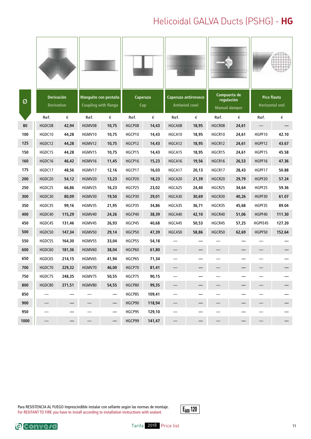### Helicoidal GALVA Ducts (PSHG) - **HG**

| Ø          | <b>Derivación</b> |                | Manguito con pestaña<br><b>Coupling with flange</b> |                          | <b>Caperuza</b><br>Cap |                | Caperuza antirrevoco<br><b>Antiwind cowl</b> |                | Compuerta de<br>regulación |                | <b>Pico flauta</b><br><b>Horizontal end</b> |                |
|------------|-------------------|----------------|-----------------------------------------------------|--------------------------|------------------------|----------------|----------------------------------------------|----------------|----------------------------|----------------|---------------------------------------------|----------------|
|            | <b>Derivation</b> |                |                                                     |                          |                        |                |                                              |                | <b>Manual damper</b>       |                |                                             |                |
|            | Ref.              | €              | Ref.                                                | €                        | Ref.                   | €              | Ref.                                         | €              | Ref.                       | €              | Ref.                                        | €              |
| 80         | HGDC08            | 42,94          | HGMV08                                              | 10,75                    | HGCP08                 | 14,43          | HGCA08                                       | 18,95          | HGCR08                     | 24,61          |                                             |                |
| 100        | HGDC10            | 44,28          | HGMV10                                              | 10,75                    | HGCP10                 | 14,43          | HGCA10                                       | 18,95          | HGCR10                     | 24,61          | HGPF10                                      | 42.10          |
| 125        | HGDC12            | 44,28          | HGMV12                                              | 10,75                    | HGCP12                 | 14,43          | HGCA12                                       | 18,95          | HGCR12                     | 24,61          | HGPF12                                      | 43.67          |
| 150        | HGDC15            | 44,28          | HGMV15                                              | 10,75                    | HGCP15                 | 14,43          | HGCA15                                       | 18,95          | HGCR15                     | 24,61          | HGPF15                                      | 45.58          |
| 160        | HGDC16            | 46,42          | HGMV16                                              | 11,45                    | HGCP16                 | 15,23          | HGCA16                                       | 19,56          | HGCR16                     | 26,53          | HGPF16                                      | 47.36          |
| 175        | HGDC17            | 48,56          | HGMV17<br>HGMV20                                    | 12,16                    | HGCP17                 | 16,03          | HGCA17                                       | 20,13          | HGCR17                     | 28,43          | HGPF17<br>HGPF20                            | 50.88          |
| 200<br>250 | HGDC20<br>HGDC25  | 54,12<br>66,86 | HGMV25                                              | 13,23                    | HGCP20<br>HGCP25       | 18,23          | HGCA20<br>HGCA25                             | 21,39          | HGCR20<br>HGCR25           | 29,79<br>34,64 | HGPF25                                      | 57.24<br>59.36 |
| 300        | HGDC30            | 80,09          | HGMV30                                              | 16,23<br>19,50           | HGCP30                 | 23,02<br>29,01 | HGCA30                                       | 24,40<br>30,69 | HGCR30                     | 40,26          | HGPF30                                      | 61.07          |
| 350        | HGDC35            | 99,16          | HGMV35                                              | 21,95                    | HGCP35                 | 34,86          | HGCA35                                       | 36,71          | HGCR35                     | 45,68          | HGPF35                                      | 89.04          |
| 400        | HGDC40            | 115,29         | HGMV40                                              | 24,26                    | HGCP40                 | 38,39          | HGCA40                                       | 42,10          | HGCR40                     | 51,06          | HGPF40                                      | 111.30         |
| 450        | HGDC45            | 131,46         | HGMV45                                              | 26,93                    | HGCP45                 | 40,68          | HGCA45                                       | 50,53          | HGCR45                     | 57,25          | HGPFE45                                     | 127.20         |
| 500        | HGDC50            | 147,34         | HGMV50                                              | 29,14                    | HGCP50                 | 47,39          | HGCA50                                       | 58,86          | HGCR50                     | 62,69          | HGPF50                                      | 152.64         |
| 550        | HGDC55            | 164,30         | HGMV55                                              | 33,04                    | HGCP55                 | 54,18          |                                              |                |                            |                |                                             |                |
| 600        | HGDC60            | 181,36         | HGMV60                                              | 38,04                    | HGCP60                 | 61,80          |                                              |                |                            |                |                                             |                |
| 650        | HGDC65            | 214,15         | HGMV65                                              | 41,94                    | HGCP65                 | 71,34          |                                              |                |                            |                |                                             |                |
| 700        | HGDC70            | 229,32         | HGMV70                                              | 46,00                    | HGCP70                 | 81,41          |                                              |                |                            |                |                                             |                |
| 750        | HGDC75            | 248,35         | HGMV75                                              | 50,55                    | HGCP75                 | 90,15          |                                              |                |                            |                |                                             |                |
| 800        | HGDC80            | 271,51         | HGMV80                                              | 54,55                    | HGCP80                 | 99,35          |                                              |                |                            |                |                                             |                |
| 850        |                   |                |                                                     | $\overline{\phantom{0}}$ | HGCP85                 | 109,41         |                                              |                |                            |                |                                             |                |
| 900        |                   |                |                                                     | —                        | HGCP90                 | 118,94         |                                              |                |                            |                |                                             |                |
| 950        |                   |                |                                                     | —                        | HGCP95                 | 129,10         |                                              |                |                            |                |                                             |                |
| 1000       |                   |                |                                                     | $\overline{\phantom{0}}$ | HGCP99                 | 141,47         |                                              |                |                            |                |                                             |                |

Para RESISTENCIA AL FUEGO Imprescindible instalar con sellante según las normas de montaje.<br>For RESITANT TO FIRE you have to install according to installation instructions with sealant.



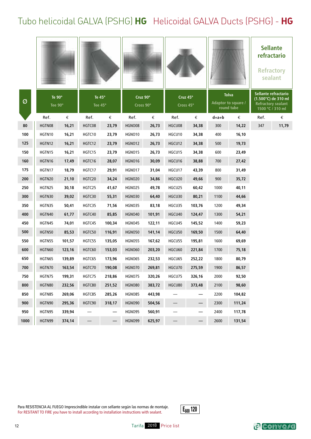### Tubo helicoidal GALVA (PSHG) **HG**  Helicoidal GALVA Ducts (PSHG) - **HG**

|      |                   |        |        |                          |                       |        |        |                          |                                                   |        |      | <b>Sellante</b><br>refractario<br><b>Refractory</b><br>sealant                               |
|------|-------------------|--------|--------|--------------------------|-----------------------|--------|--------|--------------------------|---------------------------------------------------|--------|------|----------------------------------------------------------------------------------------------|
| Ø    | Te 90°<br>Tee 90° |        | Te 45° | Tee 45°                  | Cruz 90°<br>Cross 90° |        |        | Cruz 45°<br>Cross 45°    | <b>Tolva</b><br>Adaptor to square /<br>round tube |        |      | Sellante refractario<br>(1.500°C) de 310 ml<br><b>Refractory sealant</b><br>1500 °C / 310 ml |
|      | Ref.              | $\in$  | Ref.   | $\in$                    | Ref.                  | $\in$  | Ref.   | $\in$                    | $d+a+b$                                           | €      | Ref. | €                                                                                            |
| 80   | HGTN08            | 16,21  | HGTC08 | 23,79                    | <b>HGNO08</b>         | 26,73  | HGCU08 | 34,38                    | 300                                               | 14,22  | 347  | 11,79                                                                                        |
| 100  | HGTN10            | 16,21  | HGTC10 | 23,79                    | <b>HGN010</b>         | 26,73  | HGCU10 | 34,38                    | 400                                               | 16,10  |      |                                                                                              |
| 125  | HGTN12            | 16,21  | HGTC12 | 23,79                    | <b>HGN012</b>         | 26,73  | HGCU12 | 34,38                    | 500                                               | 19,73  |      |                                                                                              |
| 150  | HGTN15            | 16,21  | HGTC15 | 23,79                    | <b>HGN015</b>         | 26,73  | HGCU15 | 34,38                    | 600                                               | 23,49  |      |                                                                                              |
| 160  | HGTN16            | 17,49  | HGTC16 | 28,07                    | <b>HGNO16</b>         | 30,09  | HGCU16 | 38,88                    | 700                                               | 27,42  |      |                                                                                              |
| 175  | HGTN17            | 18,79  | HGTC17 | 29,91                    | HGNO17                | 31,04  | HGCU17 | 43,39                    | 800                                               | 31,49  |      |                                                                                              |
| 200  | HGTN20            | 21,10  | HGTC20 | 34,24                    | <b>HGNO20</b>         | 34,86  | HGCU20 | 49,66                    | 900                                               | 35,72  |      |                                                                                              |
| 250  | HGTN25            | 30,18  | HGTC25 | 41,67                    | <b>HGN025</b>         | 49,78  | HGCU25 | 60,42                    | 1000                                              | 40,11  |      |                                                                                              |
| 300  | HGTN30            | 39,02  | HGTC30 | 55,31                    | <b>HGN030</b>         | 64,40  | HGCU30 | 80,21                    | 1100                                              | 44,66  |      |                                                                                              |
| 350  | HGTN35            | 50,41  | HGTC35 | 71,56                    | <b>HGN035</b>         | 83,18  | HGCU35 | 103,76                   | 1200                                              | 49,34  |      |                                                                                              |
| 400  | HGTN40            | 61,77  | HGTC40 | 85,85                    | <b>HGN040</b>         | 101,91 | HGCU40 | 124,47                   | 1300                                              | 54,21  |      |                                                                                              |
| 450  | HGTN45            | 74,01  | HGTC45 | 100,34                   | <b>HGN045</b>         | 122,11 | HGCU45 | 145,52                   | 1400                                              | 59,23  |      |                                                                                              |
| 500  | HGTN50            | 85,53  | HGTC50 | 116,91                   | <b>HGN050</b>         | 141,14 | HGCU50 | 169,50                   | 1500                                              | 64,40  |      |                                                                                              |
| 550  | HGTN55            | 101,57 | HGTC55 | 135,05                   | <b>HGN055</b>         | 167,62 | HGCU55 | 195,81                   | 1600                                              | 69,69  |      |                                                                                              |
| 600  | HGTN60            | 123,16 | HGTC60 | 153,03                   | <b>HGN060</b>         | 203,20 | HGCU60 | 221,84                   | 1700                                              | 75,18  |      |                                                                                              |
| 650  | HGTN65            | 139,89 | HGTC65 | 173,96                   | <b>HGN065</b>         | 232,53 | HGCU65 | 252,22                   | 1800                                              | 80,79  |      |                                                                                              |
| 700  | HGTN70            | 163,54 | HGTC70 | 190,08                   | <b>HGNO70</b>         | 269,81 | HGCU70 | 275,59                   | 1900                                              | 86,57  |      |                                                                                              |
| 750  | HGTN75            | 199,31 | HGTC75 | 218,86                   | <b>HGN075</b>         | 320,26 | HGCU75 | 326,16                   | 2000                                              | 92,50  |      |                                                                                              |
| 800  | HGTN80            | 232,56 | HGTC80 | 251,52                   | <b>HGN080</b>         | 383,72 | HGCU80 | 373,48                   | 2100                                              | 98,60  |      |                                                                                              |
| 850  | HGTN85            | 269,06 | HGTC85 | 285,26                   | <b>HGN085</b>         | 443,98 |        |                          | 2200                                              | 104,82 |      |                                                                                              |
| 900  | HGTN90            | 295,36 | HGTC90 | 318,17                   | <b>HGN090</b>         | 504,56 |        |                          | 2300                                              | 111,24 |      |                                                                                              |
| 950  | HGTN95            | 339,94 |        | —                        | <b>HGN095</b>         | 560,91 |        |                          | 2400                                              | 117,78 |      |                                                                                              |
| 1000 | HGTN99            | 374,14 |        | $\overline{\phantom{0}}$ | <b>HGN099</b>         | 625,97 |        | $\overline{\phantom{0}}$ | 2600                                              | 131,54 |      |                                                                                              |

Para RESISTENCIA AL FUEGO Imprescindible instalar con sellante según las normas de montaje. Para RESISTENCIA AL FUEGO Imprescindible instalar con sellante según las normas de montaje.<br>For RESITANT TO FIRE you have to install according to installation instructions with sealant.



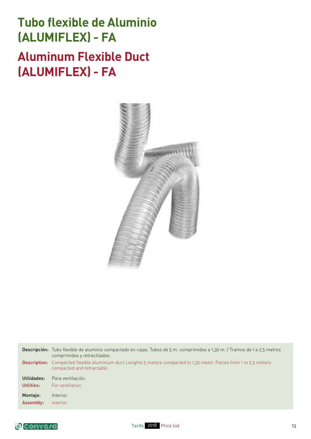## **Tubo flexible de Aluminio (ALUMIFLEX) - FA Aluminum Flexible Duct (ALUMIFLEX) - FA**



|                           | <b>Descripción:</b> Tubo flexible de aluminio compactado en cajas. Tubos de 5 m. comprimidos a 1,30 m. / Tramos de 1 a 2,5 metros<br>comprimidos y retractilados. |
|---------------------------|-------------------------------------------------------------------------------------------------------------------------------------------------------------------|
| Description:              | Compacted flexible aluminium duct. Lenghts 5 meters compacted to 1,30 meter. Pieces from 1 to 2,5 meters<br>compacted and retractable.                            |
| Utilidades:<br>Utilities: | Para ventilación.<br>For ventilation                                                                                                                              |
| Montaje:                  | Interior.                                                                                                                                                         |
| Assembly:                 | interior.                                                                                                                                                         |

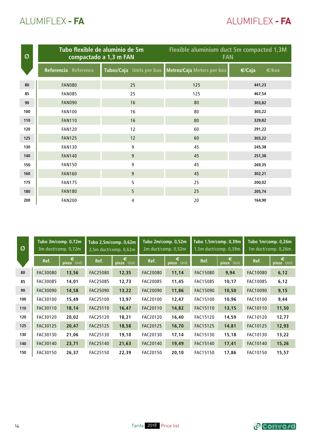### ALUMIFLEX **- FA**  ALUMIFLEX **- FA**

| Ø          |                      | Tubo flexible de aluminio de 5m<br>compactado a 1,3 m FAN | Flexible aluminium duct 5m compacted 1,3M<br><b>FAN</b> |                 |  |  |  |  |
|------------|----------------------|-----------------------------------------------------------|---------------------------------------------------------|-----------------|--|--|--|--|
|            | Referencia Reference |                                                           | Tubos/Caja Units per box Metros/Caja Meters per box     | €/Caja<br>€/box |  |  |  |  |
| ${\bf 80}$ | <b>FAN080</b>        | 25                                                        | 125                                                     | 441,23          |  |  |  |  |
| 85         | <b>FAN085</b>        | 25                                                        | 125                                                     | 467,54          |  |  |  |  |
| 90         | <b>FAN090</b>        | 16                                                        | 80                                                      | 303,82          |  |  |  |  |
| 100        | <b>FAN100</b>        | 16                                                        | 80                                                      | 303,22          |  |  |  |  |
| 110        | <b>FAN110</b>        | 16                                                        | 80                                                      | 329,82          |  |  |  |  |
| 120        | <b>FAN120</b>        | 12                                                        | 60                                                      | 291,22          |  |  |  |  |
| 125        | <b>FAN125</b>        | 12                                                        | 60                                                      | 303,22          |  |  |  |  |
| 130        | <b>FAN130</b>        | 9                                                         | 45                                                      | 245,38          |  |  |  |  |
| 140        | <b>FAN140</b>        | 9                                                         | 45                                                      | 251,38          |  |  |  |  |
| 150        | <b>FAN150</b>        | 9                                                         | 45                                                      | 269,35          |  |  |  |  |
| 160        | <b>FAN160</b>        | 9                                                         | 45                                                      | 302,21          |  |  |  |  |
| 175        | <b>FAN175</b>        | 5                                                         | 25                                                      | 200,02          |  |  |  |  |
| 180        | <b>FAN180</b>        | 5                                                         | 25                                                      | 205,74          |  |  |  |  |
| 200        | <b>FAN200</b>        | 4                                                         | 20                                                      | 164,90          |  |  |  |  |

| Ø   | Tubo 3m/comp. 0,72m<br>3m duct/comp. 0,72m |                 | Tubo 2,5m/comp. 0,62m<br>2,5m duct/comp. 0,62m |                 | Tubo 2m/comp. 0,52m<br>2m duct/comp. 0,52m |                 | Tubo 1,5m/comp. 0,39m<br>1,5m duct/comp. 0,39m |                 | Tubo 1m/comp. 0,26m<br>1m duct/comp. 0,26m |                 |
|-----|--------------------------------------------|-----------------|------------------------------------------------|-----------------|--------------------------------------------|-----------------|------------------------------------------------|-----------------|--------------------------------------------|-----------------|
|     | Ref.                                       | €<br>pieza Unit | Ref.                                           | €<br>pieza Unit | Ref.                                       | €<br>pieza Unit | Ref.                                           | €<br>pieza Unit | Ref.                                       | €<br>pieza Unit |
| 80  | FAC30080                                   | 13,56           | FAC25080                                       | 12,35           | FAC20080                                   | 11,14           | <b>FAC15080</b>                                | 9,94            | FAC10080                                   | 6, 12           |
| 85  | FAC30085                                   | 14,01           | FAC25085                                       | 12,73           | FAC20085                                   | 11,45           | FAC15085                                       | 10,17           | FAC10085                                   | 6, 12           |
| 90  | FAC30090                                   | 14,58           | FAC25090                                       | 13,22           | FAC20090                                   | 11,86           | <b>FAC15090</b>                                | 10,50           | FAC10090                                   | 9,15            |
| 100 | FAC30100                                   | 15,49           | FAC25100                                       | 13,97           | FAC20100                                   | 12,47           | FAC15100                                       | 10,96           | FAC10100                                   | 9,44            |
| 110 | FAC30110                                   | 18,14           | FAC25110                                       | 16,47           | FAC20110                                   | 14,82           | FAC15110                                       | 13,15           | FAC10110                                   | 11,50           |
| 120 | FAC30120                                   | 20,02           | FAC25120                                       | 18,21           | FAC20120                                   | 16,40           | FAC15120                                       | 14,59           | FAC10120                                   | 12,77           |
| 125 | FAC30125                                   | 20,47           | FAC25125                                       | 18,58           | FAC20125                                   | 16,70           | <b>FAC15125</b>                                | 14,81           | FAC10125                                   | 12,93           |
| 130 | FAC30130                                   | 21,06           | FAC25130                                       | 19,10           | FAC20130                                   | 17,14           | FAC15130                                       | 15,18           | FAC10130                                   | 13,22           |
| 140 | FAC30140                                   | 23,71           | FAC25140                                       | 21,63           | FAC20140                                   | 19,49           | FAC15140                                       | 17,41           | FAC10140                                   | 15,26           |
| 150 | FAC30150                                   | 26,37           | FAC25150                                       | 22,39           | FAC20150                                   | 20,10           | FAC15150                                       | 17,86           | FAC10150                                   | 15,57           |

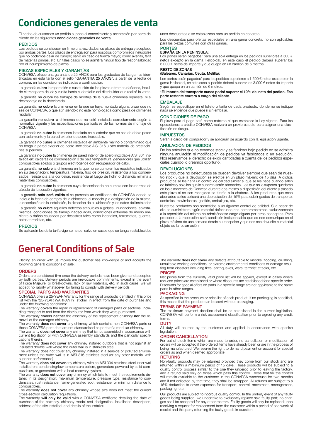### **Condiciones generales de venta**

El hecho de cursarnos un pedido supone el conocimiento y aceptación por parte del cliente de las siguientes condiciones generales de venta.

### PEDIDOS

Los pedidos se consideran en firme una vez dados los plazos de entrega y aceptado por ambas partes. Los plazos de entrega son para nosotros compromisos ineludibles que no podemos dejar de cumplir, salvo en caso de fuerza mayor, como averías, falta de materias primas, etc. En tales casos no se admitirá ningún tipo de responsabilidad por el incumplimiento de plazos.

### PIEZAS ESPECIALES Y GARANTÍAS

CONVESA ofrece una garantía de 25 AÑOS para los productos de las gamas iden-tificadas en esta tarifa con el sello "GARANTIA 25 AÑOS", a partir de la fecha de compra, en las condiciones indicadas a continuación:

La garantía cubre la reparación o sustitución de las piezas o tramos dañados, incluido el transporte de ida y vuelta hasta el domicilio del distribuidor que realizó la venta.

La garantía no cubre los trabajos de montaje de la nueva chimenea repuesta, ni el desmontaje de la deteriorada.

La garantía no cubre la chimenea en la que se haya montado alguna pieza que no sea de CONVESA, o que aún siéndolo no esté homologada como pieza de chimenea modular

La garantía no cubre la chimenea que no esté instalada correctamente según la normativa vigente y las especificaciones particulares de las normas de montaje de CONVESA.

La garantía no cubre la chimenea instalada en el exterior que no sea de doble pared con aislamiento y la pared exterior de acero inoxidable.

La garantía no cubre la chimenea instalada en ambiente marino o contaminado que no tenga la pared exterior de acero inoxidable AISI 316 u otro material de prestaciones superiores.

La garantía no cubre la chimenea de pared interior de acero inoxidable AISI 304 instalada en: calderas de condensación o de baja temperatura, generadores que utilizan combustibles sólidos o grupos electrógenos con recuperador de calor.

La garantía no cubre la chimenea en la que no se cumplen los requisitos indicados en su designación: temperatura máxima, tipo de presión, resistencia a los condensados, resistencia a la corrosión, resistencia al fuego de hollín o distancia mínima a materiales combustibles.

La garantía no cubre la chimenea cuyo dimensionado no cumpla con las normas de cálculo de la sección vigentes.

La garantía **sólo será válida** si se presenta un certificado de CONVESA donde se indique la fecha de compra de la chimenea, el modelo y la designación de la misma, la descripción de la instalación, la dirección de su ubicación y los datos del instalador.

La garantía no cubre aquellos defectos atribuibles a golpes, inundaciones, aplastamientos, condiciones de trabajo inadecuadas, condiciones extremas de medio ambiente o daños causados por desastres tales como incendios, terremotos, guerras, actos terroristas, etc.

### PRECIOS

Se aplicarán los de la tarifa vigente netos, salvo en casos que se tengan establecidos

### **General Conditions of Sale**

Placing an order with us implies the customer has knowledge of and accepts the following general conditions of sale:

### **ORDERS**

Orders are considered firm once the delivery periods have been given and accepted by both parties. Delivery periods are irrevocable commitments, except in the event of Force Majeure, or breakdowns, lack of raw materials, etc. In such cases, we will accept no liability whatsoever for failing to comply with delivery periods.

### SPECIAL PARTS AND WARRANTIES

CONVESA offers a 25-YEAR Warranty for the range of products identified in this price list with the '25-YEAR WARRANTY' sticker, in effect from the date of purchase and under the following conditions:

The warranty covers the repair or replacement of damaged parts or sections, including transport to and from the distributor from which they were purchased.

The warranty covers neither the assembly of the replacement chimney nor the removal of the damaged chimney.

The warranty **does not cover** any chimney which contains non-CONVESA parts or those CONVESA parts that are not standardised as parts of a modular chimney.

The warranty does not cover any chimney that is not assembled in accordance with current legislation or with CONVESA assembly standards and the particular specifications therein.

The warranty does not cover any chimney installed outdoors that is not against an insulated double wall where the outer wall is in stainless steel.

The warranty does not cover any chimney installed in a seaside or polluted environment unless the outer wall is in AISI 316 stainless steel (or any other material with superior performance).

The warranty **does not cover** any chimney with an AISI 304 stainless steel inner wall installed on: condensing/low temperature boilers, generators powered by solid combustibles, or generators with a heat recovery system.

The warranty **does not cover** any chimney which fails to meet the requirements detailed in its designation: maximum temperature, pressure type, resistance to condensates, rust resistance, flame-generated soot resistance, or minimum distance to combustibles.

The warranty does not cover any chimney whose size does not meet the current

cross-section calculation regulations.<br>The warranty **will only be valid** with a CONVESA certificate detailing the date of purchase of the chimney, chimney model and designation, installation description, address of the site installed, and details of the installer.

unos descuentos o se establezcan para un pedido en concreto.

Los descuentos para ofertas especiales en una gama concreta, no son aplicables para las piezas comunes con otras gamas.

#### PORTES ESPAÑA EN LA PENINSULA:

Los portes serán pagados\* para una sola entrega en los pedidos superiores a 500 €<br>netos excepto en la gama Helicoidal, en este caso el pedido deberá superar los 3.000 e netos de importe y que quepa en un camión de 6 metros.

#### RESTO DE ZONAS (Baleares, Canarias, Ceuta, Melilla):

Los portes serán pagados\* para los pedidos superiores a 1.500 € netos excepto en la gama Helicoidal, en este caso el pedido deberá superar los 3.000 € netos de importe y que quepa en un camión de 6 metros.

\*El importe del transporte nunca podrá superar el 10% del neto del pedido. Esa parte restante correrá a cargo del cliente.

#### EMBALAJE

Según se especifique en el folleto o tarifa de cada producto, donde no se indique nada se entiende que puede ir sin embalar.

### CONDICIONES DE PAGO

El plazo para el pago será como máximo el que establece la Ley vigente. Para las operaciones a crédito CONVESA realizará un previo estudio para asignar una clasificación de riesgo.

#### IMPUESTOS

Serán a cargo del comprador y se aplicarán de acuerdo con la legislación vigente.

#### ANULACIÓN DE PEDIDOS

De los artículos que no tenemos stock y se fabrican bajo pedido no se admitirá ninguna anulación ni modificación de pedidos ya fabricados o en ejecución. Nos reservamos el derecho de exigir cantidades a cuenta de los pedidos especiales cuando lo creamos oportuno.

#### DEVOLUCIONES

Los productos no defectuosos se pueden devolver siempre que sean de nuestro stock y que la devolución se efectúe en un plazo máximo de 15 días. A dichos productos se les haría un control de calidad similar al que se les hace cuando salen de fábrica y sólo los que lo superen serán abonados. Los que no lo superen quedarán en los almacenes de Convesa durante dos meses a disposición del cliente y pasado este plazo si no son recogidos se tirarán a la chatarra. A los productos que sean abonados se les aplicará una depreciación del 15% para cubrir gastos de transporte, controles, movimientos, gestión, embalajes, etc.

Nuestros productos son sometidos a un riguroso control de calidad. Si a pesar de ello se suministrara algún material defectuoso nos comprometemos exclusivamente a la reposición del mismo no admitiéndose cargo alguno por otros conceptos. Para proceder a la reposición será condición indispensable que se nos comunique en el plazo máximo de una semana desde su recepción y que nos sea devuelto el material objeto de la reclamación.

The warranty does not cover any defects attributable to knocks, flooding, crushing, unsuitable working conditions, or extreme environmental conditions or damage resulting from disasters including fires, earthquakes, wars, terrorist attacks, etc.

### PRICES

Net prices from the currently valid price list will be applied, except in cases where reduced prices are established or where discounts are established for a specific order. Discounts for special offers on parts in a specific range are not applicable to the same parts in other ranges.

### PACKAGING

As specified in the brochure or price list of each product. If no packaging is specified, this means that the product can be sent without packaging.

#### TERMS OF PAYMENT

The maximum payment deadline shall be as established in the current legislation. CONVESA will perform a risk assessment classification prior to agreeing any credit terms.

#### DUTY

All duty will be met by the customer and applied in accordance with spanish legislation.

### ORDER CANCELLATION

For out-of-stock items which are made-to-order, no cancellation or modification of orders will be accepted if the ordered items have already been or are in the process of being manufactured. We reserve the right to demand payment on account for special orders as and when deemed appropriate.

### RETURNS

Non-faulty products may be returned provided they come from our stock and are returned within a maximum period of 15 days. These products will be subject to a quality control process similar to the one they undergo prior to leaving the factory, and a refund paid only on those which pass this control. Those that fail the control will remain available to the customer in the CONVESA warehouse for two months and if not collected by that time, they shall be scrapped. All refunds are subject to a 15% deduction to cover expenses for transport, control, movement, management, packaging, etc.

Our products are subject to rigorous quality control. In the unlikely event of any faulty goods being supplied, we undertake to exclusively replace said faulty part; no charges shall be accepted for any other matters. Faulty goods will only be replaced upon receiving a request for replacement from the customer within a period of one week of receipt and this party returning the faulty goods in question.